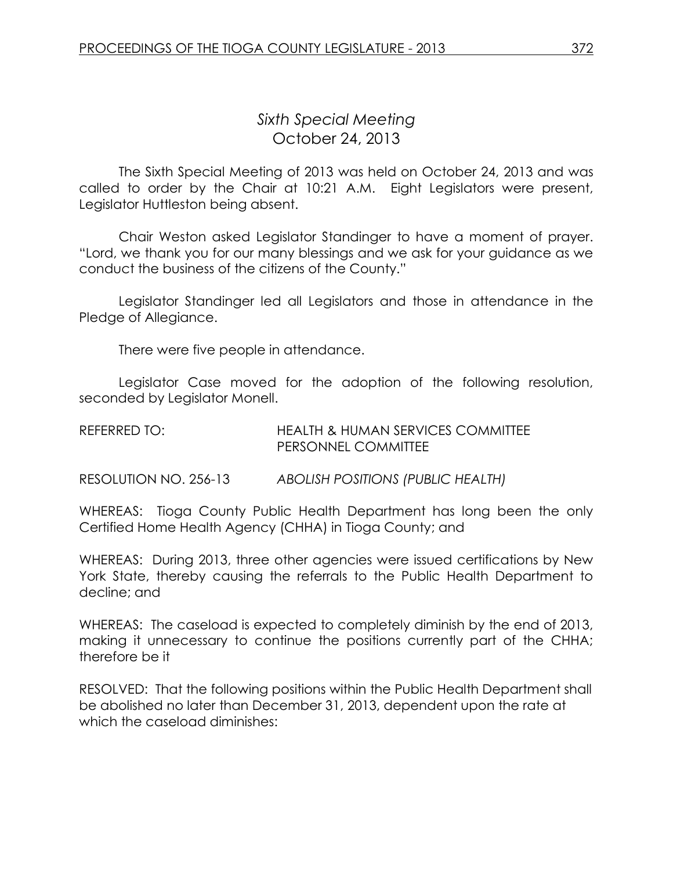## *Sixth Special Meeting* October 24, 2013

The Sixth Special Meeting of 2013 was held on October 24, 2013 and was called to order by the Chair at 10:21 A.M. Eight Legislators were present, Legislator Huttleston being absent.

Chair Weston asked Legislator Standinger to have a moment of prayer. "Lord, we thank you for our many blessings and we ask for your guidance as we conduct the business of the citizens of the County."

Legislator Standinger led all Legislators and those in attendance in the Pledge of Allegiance.

There were five people in attendance.

Legislator Case moved for the adoption of the following resolution, seconded by Legislator Monell.

| REFERRED TO: | HEALTH & HUMAN SERVICES COMMITTEE |
|--------------|-----------------------------------|
|              | <b>PERSONNEL COMMITTEE</b>        |

RESOLUTION NO. 256-13 *ABOLISH POSITIONS (PUBLIC HEALTH)*

WHEREAS: Tioga County Public Health Department has long been the only Certified Home Health Agency (CHHA) in Tioga County; and

WHEREAS: During 2013, three other agencies were issued certifications by New York State, thereby causing the referrals to the Public Health Department to decline; and

WHEREAS: The caseload is expected to completely diminish by the end of 2013, making it unnecessary to continue the positions currently part of the CHHA; therefore be it

RESOLVED: That the following positions within the Public Health Department shall be abolished no later than December 31, 2013, dependent upon the rate at which the caseload diminishes: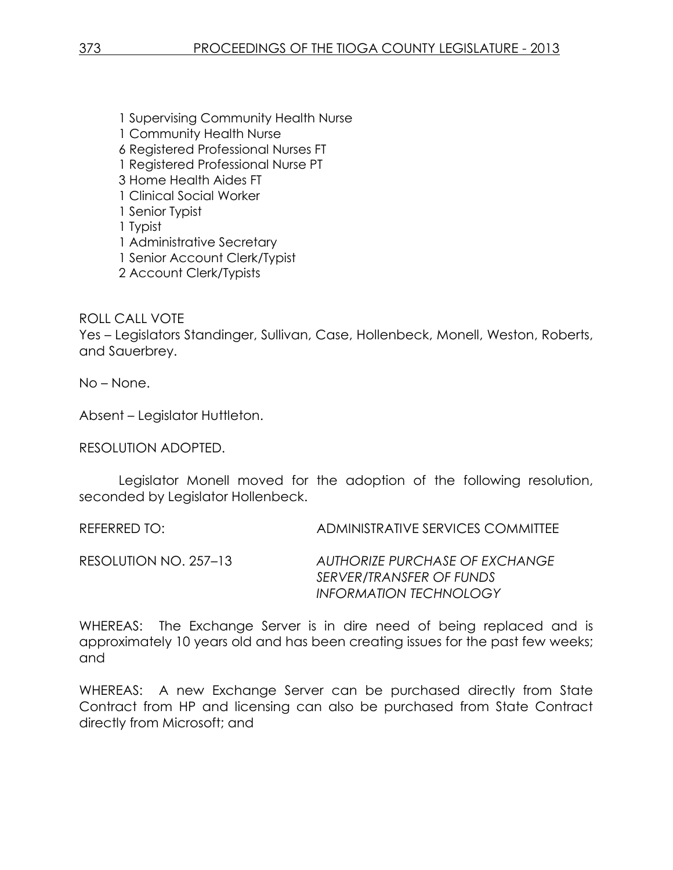1 Supervising Community Health Nurse 1 Community Health Nurse 6 Registered Professional Nurses FT 1 Registered Professional Nurse PT 3 Home Health Aides FT 1 Clinical Social Worker 1 Senior Typist 1 Typist 1 Administrative Secretary 1 Senior Account Clerk/Typist 2 Account Clerk/Typists

ROLL CALL VOTE

Yes – Legislators Standinger, Sullivan, Case, Hollenbeck, Monell, Weston, Roberts, and Sauerbrey.

No – None.

Absent – Legislator Huttleton.

RESOLUTION ADOPTED.

Legislator Monell moved for the adoption of the following resolution, seconded by Legislator Hollenbeck.

REFERRED TO: ADMINISTRATIVE SERVICES COMMITTEE

RESOLUTION NO. 257–13 *AUTHORIZE PURCHASE OF EXCHANGE SERVER/TRANSFER OF FUNDS INFORMATION TECHNOLOGY*

WHEREAS: The Exchange Server is in dire need of being replaced and is approximately 10 years old and has been creating issues for the past few weeks; and

WHEREAS: A new Exchange Server can be purchased directly from State Contract from HP and licensing can also be purchased from State Contract directly from Microsoft; and